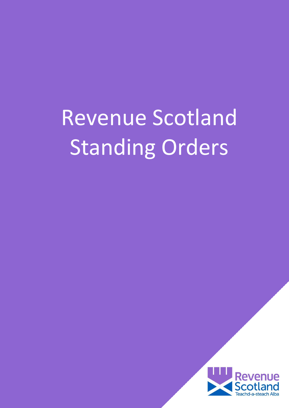# Revenue Scotland Standing Orders

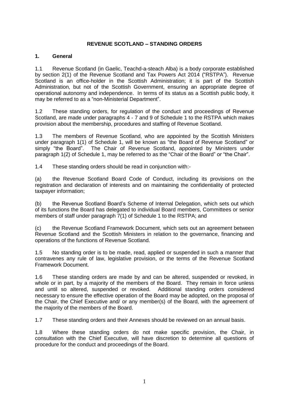## **REVENUE SCOTLAND – STANDING ORDERS**

#### **1. General**

1.1 Revenue Scotland (in Gaelic, Teachd-a-steach Alba) is a body corporate established by section 2(1) of the Revenue Scotland and Tax Powers Act 2014 ("RSTPA"). Revenue Scotland is an office-holder in the Scottish Administration; it is part of the Scottish Administration, but not of the Scottish Government, ensuring an appropriate degree of operational autonomy and independence. In terms of its status as a Scottish public body, it may be referred to as a "non-Ministerial Department".

1.2 These standing orders, for regulation of the conduct and proceedings of Revenue Scotland, are made under paragraphs 4 - 7 and 9 of Schedule 1 to the RSTPA which makes provision about the membership, procedures and staffing of Revenue Scotland.

1.3 The members of Revenue Scotland, who are appointed by the Scottish Ministers under paragraph 1(1) of Schedule 1, will be known as "the Board of Revenue Scotland" or simply "the Board". The Chair of Revenue Scotland, appointed by Ministers under paragraph 1(2) of Schedule 1, may be referred to as the "Chair of the Board" or "the Chair".

1.4 These standing orders should be read in conjunction with:-

(a) the Revenue Scotland Board Code of Conduct, including its provisions on the registration and declaration of interests and on maintaining the confidentiality of protected taxpayer information;

(b) the Revenue Scotland Board's Scheme of Internal Delegation, which sets out which of its functions the Board has delegated to individual Board members, Committees or senior members of staff under paragraph 7(1) of Schedule 1 to the RSTPA; and

(c) the Revenue Scotland Framework Document, which sets out an agreement between Revenue Scotland and the Scottish Ministers in relation to the governance, financing and operations of the functions of Revenue Scotland.

1.5 No standing order is to be made, read, applied or suspended in such a manner that contravenes any rule of law, legislative provision, or the terms of the Revenue Scotland Framework Document.

1.6 These standing orders are made by and can be altered, suspended or revoked, in whole or in part, by a majority of the members of the Board. They remain in force unless and until so altered, suspended or revoked. Additional standing orders considered necessary to ensure the effective operation of the Board may be adopted, on the proposal of the Chair, the Chief Executive and/ or any member(s) of the Board, with the agreement of the majority of the members of the Board.

1.7 These standing orders and their Annexes should be reviewed on an annual basis.

1.8 Where these standing orders do not make specific provision, the Chair, in consultation with the Chief Executive, will have discretion to determine all questions of procedure for the conduct and proceedings of the Board.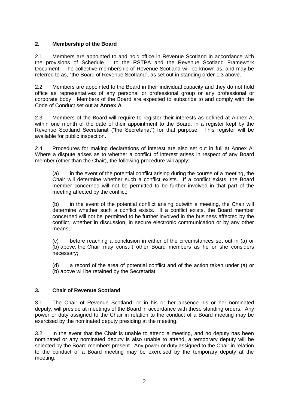## **2. Membership of the Board**

2.1 Members are appointed to and hold office in Revenue Scotland in accordance with the provisions of Schedule 1 to the RSTPA and the Revenue Scotland Framework Document. The collective membership of Revenue Scotland will be known as, and may be referred to as, "the Board of Revenue Scotland", as set out in standing order 1.3 above.

2.2 Members are appointed to the Board in their individual capacity and they do not hold office as representatives of any personal or professional group or any professional or corporate body. Members of the Board are expected to subscribe to and comply with the Code of Conduct set out at **Annex A**.

2.3 Members of the Board will require to register their interests as defined at Annex A, within one month of the date of their appointment to the Board, in a register kept by the Revenue Scotland Secretariat ("the Secretariat") for that purpose. This register will be available for public inspection.

2.4 Procedures for making declarations of interest are also set out in full at Annex A. Where a dispute arises as to whether a conflict of interest arises in respect of any Board member (other than the Chair), the following procedure will apply:-

(a) in the event of the potential conflict arising during the course of a meeting, the Chair will determine whether such a conflict exists. If a conflict exists, the Board member concerned will not be permitted to be further involved in that part of the meeting affected by the conflict;

(b) in the event of the potential conflict arising outwith a meeting, the Chair will determine whether such a conflict exists. If a conflict exists, the Board member concerned will not be permitted to be further involved in the business affected by the conflict, whether in discussion, in secure electronic communication or by any other means;

(c) before reaching a conclusion in either of the circumstances set out in (a) or (b) above, the Chair may consult other Board members as he or she considers necessary;

(d) a record of the area of potential conflict and of the action taken under (a) or (b) above will be retained by the Secretariat.

# **3. Chair of Revenue Scotland**

3.1 The Chair of Revenue Scotland, or in his or her absence his or her nominated deputy, will preside at meetings of the Board in accordance with these standing orders. Any power or duty assigned to the Chair in relation to the conduct of a Board meeting may be exercised by the nominated deputy presiding at the meeting.

3.2 In the event that the Chair is unable to attend a meeting, and no deputy has been nominated or any nominated deputy is also unable to attend, a temporary deputy will be selected by the Board members present. Any power or duty assigned to the Chair in relation to the conduct of a Board meeting may be exercised by the temporary deputy at the meeting.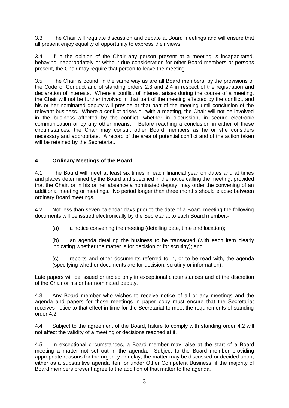3.3 The Chair will regulate discussion and debate at Board meetings and will ensure that all present enjoy equality of opportunity to express their views.

3.4 If in the opinion of the Chair any person present at a meeting is incapacitated, behaving inappropriately or without due consideration for other Board members or persons present, the Chair may require that person to leave the meeting.

3.5 The Chair is bound, in the same way as are all Board members, by the provisions of the Code of Conduct and of standing orders 2.3 and 2.4 in respect of the registration and declaration of interests. Where a conflict of interest arises during the course of a meeting, the Chair will not be further involved in that part of the meeting affected by the conflict, and his or her nominated deputy will preside at that part of the meeting until conclusion of the relevant business. Where a conflict arises outwith a meeting, the Chair will not be involved in the business affected by the conflict, whether in discussion, in secure electronic communication or by any other means. Before reaching a conclusion in either of these circumstances, the Chair may consult other Board members as he or she considers necessary and appropriate. A record of the area of potential conflict and of the action taken will be retained by the Secretariat.

# **4. Ordinary Meetings of the Board**

4.1 The Board will meet at least six times in each financial year on dates and at times and places determined by the Board and specified in the notice calling the meeting, provided that the Chair, or in his or her absence a nominated deputy, may order the convening of an additional meeting or meetings. No period longer than three months should elapse between ordinary Board meetings.

4.2 Not less than seven calendar days prior to the date of a Board meeting the following documents will be issued electronically by the Secretariat to each Board member:-

(a) a notice convening the meeting (detailing date, time and location);

(b) an agenda detailing the business to be transacted (with each item clearly indicating whether the matter is for decision or for scrutiny); and

(c) reports and other documents referred to in, or to be read with, the agenda (specifying whether documents are for decision, scrutiny or information).

Late papers will be issued or tabled only in exceptional circumstances and at the discretion of the Chair or his or her nominated deputy.

4.3 Any Board member who wishes to receive notice of all or any meetings and the agenda and papers for those meetings in paper copy must ensure that the Secretariat receives notice to that effect in time for the Secretariat to meet the requirements of standing order 4.2.

4.4 Subject to the agreement of the Board, failure to comply with standing order 4.2 will not affect the validity of a meeting or decisions reached at it.

4.5 In exceptional circumstances, a Board member may raise at the start of a Board meeting a matter not set out in the agenda. Subject to the Board member providing appropriate reasons for the urgency or delay, the matter may be discussed or decided upon, either as a substantive agenda item or under Other Competent Business, if the majority of Board members present agree to the addition of that matter to the agenda.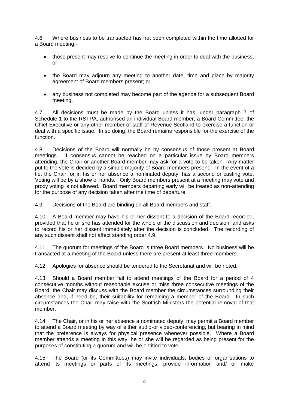4.6 Where business to be transacted has not been completed within the time allotted for a Board meeting:-

- those present may resolve to continue the meeting in order to deal with the business; or
- the Board may adjourn any meeting to another date, time and place by majority agreement of Board members present; or
- any business not completed may become part of the agenda for a subsequent Board meeting.

4.7 All decisions must be made by the Board unless it has, under paragraph 7 of Schedule 1 to the RSTPA, authorised an individual Board member, a Board Committee, the Chief Executive or any other member of staff of Revenue Scotland to exercise a function or deal with a specific issue. In so doing, the Board remains responsible for the exercise of the function.

4.8 Decisions of the Board will normally be by consensus of those present at Board meetings. If consensus cannot be reached on a particular issue by Board members attending, the Chair or another Board member may ask for a vote to be taken. Any matter put to the vote is decided by a simple majority of Board members present. In the event of a tie, the Chair, or in his or her absence a nominated deputy, has a second or casting vote. Voting will be by a show of hands. Only Board members present at a meeting may vote and proxy voting is not allowed. Board members departing early will be treated as non-attending for the purpose of any decision taken after the time of departure.

4.9 Decisions of the Board are binding on all Board members and staff.

4.10 A Board member may have his or her dissent to a decision of the Board recorded, provided that he or she has attended for the whole of the discussion and decision, and asks to record his or her dissent immediately after the decision is concluded. The recording of any such dissent shall not affect standing order 4.9.

4.11 The quorum for meetings of the Board is three Board members. No business will be transacted at a meeting of the Board unless there are present at least three members.

4.12 Apologies for absence should be tendered to the Secretariat and will be noted.

4.13 Should a Board member fail to attend meetings of the Board for a period of 4 consecutive months without reasonable excuse or miss three consecutive meetings of the Board, the Chair may discuss with the Board member the circumstances surrounding their absence and, if need be, their suitability for remaining a member of the Board. In such circumstances the Chair may raise with the Scottish Ministers the potential removal of that member.

4.14 The Chair, or in his or her absence a nominated deputy, may permit a Board member to attend a Board meeting by way of either audio-or video-conferencing, but bearing in mind that the preference is always for physical presence whenever possible. Where a Board member attends a meeting in this way, he or she will be regarded as being present for the purposes of constituting a quorum and will be entitled to vote.

4.15 The Board (or its Committees) may invite individuals, bodies or organisations to attend its meetings or parts of its meetings, provide information and/ or make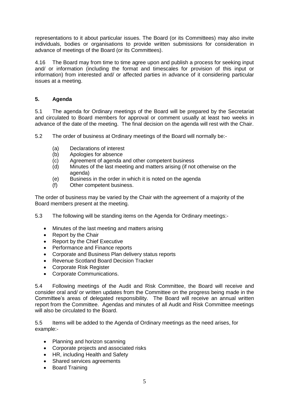representations to it about particular issues. The Board (or its Committees) may also invite individuals, bodies or organisations to provide written submissions for consideration in advance of meetings of the Board (or its Committees).

4.16 The Board may from time to time agree upon and publish a process for seeking input and/ or information (including the format and timescales for provision of this input or information) from interested and/ or affected parties in advance of it considering particular issues at a meeting.

# **5. Agenda**

5.1 The agenda for Ordinary meetings of the Board will be prepared by the Secretariat and circulated to Board members for approval or comment usually at least two weeks in advance of the date of the meeting. The final decision on the agenda will rest with the Chair.

5.2 The order of business at Ordinary meetings of the Board will normally be:-

- (a) Declarations of interest
- (b) Apologies for absence
- (c) Agreement of agenda and other competent business
- (d) Minutes of the last meeting and matters arising (if not otherwise on the agenda)
- (e) Business in the order in which it is noted on the agenda
- (f) Other competent business.

The order of business may be varied by the Chair with the agreement of a majority of the Board members present at the meeting.

5.3 The following will be standing items on the Agenda for Ordinary meetings:-

- Minutes of the last meeting and matters arising
- Report by the Chair
- Report by the Chief Executive
- Performance and Finance reports
- Corporate and Business Plan delivery status reports
- Revenue Scotland Board Decision Tracker
- Corporate Risk Register
- Corporate Communications.

5.4 Following meetings of the Audit and Risk Committee, the Board will receive and consider oral and/ or written updates from the Committee on the progress being made in the Committee's areas of delegated responsibility. The Board will receive an annual written report from the Committee. Agendas and minutes of all Audit and Risk Committee meetings will also be circulated to the Board.

5.5 Items will be added to the Agenda of Ordinary meetings as the need arises, for example:-

- Planning and horizon scanning
- Corporate projects and associated risks
- HR, including Health and Safety
- Shared services agreements
- Board Training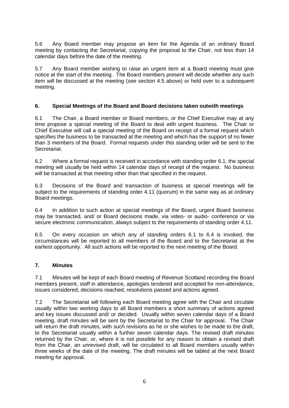5.6 Any Board member may propose an item for the Agenda of an ordinary Board meeting by contacting the Secretariat, copying the proposal to the Chair, not less than 14 calendar days before the date of the meeting.

5.7 Any Board member wishing to raise an urgent item at a Board meeting must give notice at the start of the meeting. The Board members present will decide whether any such item will be discussed at the meeting (see section 4.5 above) or held over to a subsequent meeting.

## **6. Special Meetings of the Board and Board decisions taken outwith meetings**

6.1 The Chair, a Board member or Board members, or the Chief Executive may at any time propose a special meeting of the Board to deal with urgent business. The Chair or Chief Executive will call a special meeting of the Board on receipt of a formal request which specifies the business to be transacted at the meeting and which has the support of no fewer than 3 members of the Board. Formal requests under this standing order will be sent to the Secretariat.

6.2 Where a formal request is received in accordance with standing order 6.1, the special meeting will usually be held within 14 calendar days of receipt of the request. No business will be transacted at that meeting other than that specified in the request.

6.3 Decisions of the Board and transaction of business at special meetings will be subject to the requirements of standing order 4.11 (quorum) in the same way as at ordinary Board meetings.

6.4 In addition to such action at special meetings of the Board, urgent Board business may be transacted, and/ or Board decisions made, via video- or audio- conference or via secure electronic communication, always subject to the requirements of standing order 4.11.

6.5 On every occasion on which any of standing orders 6.1 to 6.4 is invoked, the circumstances will be reported to all members of the Board and to the Secretariat at the earliest opportunity. All such actions will be reported to the next meeting of the Board.

#### **7. Minutes**

7.1 Minutes will be kept of each Board meeting of Revenue Scotland recording the Board members present, staff in attendance, apologies tendered and accepted for non-attendance, issues considered, decisions reached, resolutions passed and actions agreed.

7.2 The Secretariat will following each Board meeting agree with the Chair and circulate usually within two working days to all Board members a short summary of actions agreed and key issues discussed and/ or decided. Usually within seven calendar days of a Board meeting, draft minutes will be sent by the Secretariat to the Chair for approval. The Chair will return the draft minutes, with such revisions as he or she wishes to be made to the draft, to the Secretariat usually within a further seven calendar days. The revised draft minutes returned by the Chair, or, where it is not possible for any reason to obtain a revised draft from the Chair, an unrevised draft, will be circulated to all Board members usually within three weeks of the date of the meeting. The draft minutes will be tabled at the next Board meeting for approval.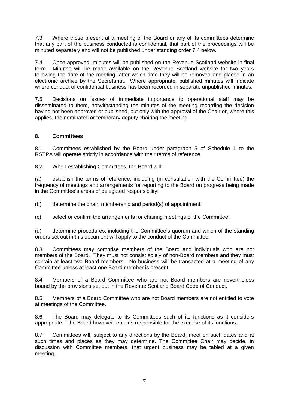7.3 Where those present at a meeting of the Board or any of its committees determine that any part of the business conducted is confidential, that part of the proceedings will be minuted separately and will not be published under standing order 7.4 below.

7.4 Once approved, minutes will be published on the Revenue Scotland website in final form. Minutes will be made available on the Revenue Scotland website for two years following the date of the meeting, after which time they will be removed and placed in an electronic archive by the Secretariat. Where appropriate, published minutes will indicate where conduct of confidential business has been recorded in separate unpublished minutes.

7.5 Decisions on issues of immediate importance to operational staff may be disseminated to them, notwithstanding the minutes of the meeting recording the decision having not been approved or published, but only with the approval of the Chair or, where this applies, the nominated or temporary deputy chairing the meeting.

## **8. Committees**

8.1 Committees established by the Board under paragraph 5 of Schedule 1 to the RSTPA will operate strictly in accordance with their terms of reference.

8.2 When establishing Committees, the Board will:-

(a) establish the terms of reference, including (in consultation with the Committee) the frequency of meetings and arrangements for reporting to the Board on progress being made in the Committee's areas of delegated responsibility;

(b) determine the chair, membership and period(s) of appointment;

(c) select or confirm the arrangements for chairing meetings of the Committee;

(d) determine procedures, including the Committee's quorum and which of the standing orders set out in this document will apply to the conduct of the Committee.

8.3 Committees may comprise members of the Board and individuals who are not members of the Board. They must not consist solely of non-Board members and they must contain at least two Board members. No business will be transacted at a meeting of any Committee unless at least one Board member is present.

8.4 Members of a Board Committee who are not Board members are nevertheless bound by the provisions set out in the Revenue Scotland Board Code of Conduct.

8.5 Members of a Board Committee who are not Board members are not entitled to vote at meetings of the Committee.

8.6 The Board may delegate to its Committees such of its functions as it considers appropriate. The Board however remains responsible for the exercise of its functions.

8.7 Committees will, subject to any directions by the Board, meet on such dates and at such times and places as they may determine. The Committee Chair may decide, in discussion with Committee members, that urgent business may be tabled at a given meeting.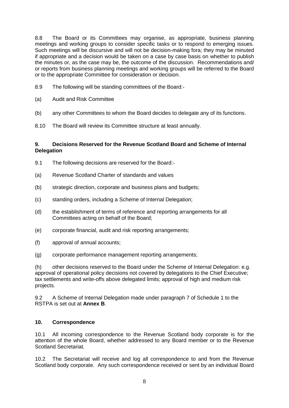8.8 The Board or its Committees may organise, as appropriate, business planning meetings and working groups to consider specific tasks or to respond to emerging issues. Such meetings will be discursive and will not be decision-making fora; they may be minuted if appropriate and a decision would be taken on a case by case basis on whether to publish the minutes or, as the case may be, the outcome of the discussion. Recommendations and/ or reports from business planning meetings and working groups will be referred to the Board or to the appropriate Committee for consideration or decision.

- 8.9 The following will be standing committees of the Board:-
- (a) Audit and Risk Committee
- (b) any other Committees to whom the Board decides to delegate any of its functions.
- 8.10 The Board will review its Committee structure at least annually.

## **9. Decisions Reserved for the Revenue Scotland Board and Scheme of Internal Delegation**

- 9.1 The following decisions are reserved for the Board:-
- (a) Revenue Scotland Charter of standards and values
- (b) strategic direction, corporate and business plans and budgets;
- (c) standing orders, including a Scheme of Internal Delegation;
- (d) the establishment of terms of reference and reporting arrangements for all Committees acting on behalf of the Board;
- (e) corporate financial, audit and risk reporting arrangements;
- (f) approval of annual accounts;
- (g) corporate performance management reporting arrangements;

(h) other decisions reserved to the Board under the Scheme of Internal Delegation: e.g. approval of operational policy decisions not covered by delegations to the Chief Executive; tax settlements and write-offs above delegated limits; approval of high and medium risk projects.

9.2 A Scheme of Internal Delegation made under paragraph 7 of Schedule 1 to the RSTPA is set out at **Annex B**.

## **10. Correspondence**

10.1 All incoming correspondence to the Revenue Scotland body corporate is for the attention of the whole Board, whether addressed to any Board member or to the Revenue Scotland Secretariat.

10.2 The Secretariat will receive and log all correspondence to and from the Revenue Scotland body corporate. Any such correspondence received or sent by an individual Board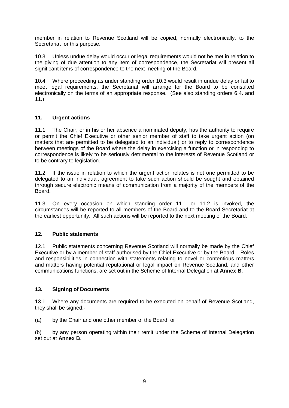member in relation to Revenue Scotland will be copied, normally electronically, to the Secretariat for this purpose.

10.3 Unless undue delay would occur or legal requirements would not be met in relation to the giving of due attention to any item of correspondence, the Secretariat will present all significant items of correspondence to the next meeting of the Board.

10.4 Where proceeding as under standing order 10.3 would result in undue delay or fail to meet legal requirements, the Secretariat will arrange for the Board to be consulted electronically on the terms of an appropriate response. (See also standing orders 6.4. and 11.)

## **11. Urgent actions**

11.1 The Chair, or in his or her absence a nominated deputy, has the authority to require or permit the Chief Executive or other senior member of staff to take urgent action (on matters that are permitted to be delegated to an individual) or to reply to correspondence between meetings of the Board where the delay in exercising a function or in responding to correspondence is likely to be seriously detrimental to the interests of Revenue Scotland or to be contrary to legislation.

11.2 If the issue in relation to which the urgent action relates is not one permitted to be delegated to an individual, agreement to take such action should be sought and obtained through secure electronic means of communication from a majority of the members of the Board.

11.3 On every occasion on which standing order 11.1 or 11.2 is invoked, the circumstances will be reported to all members of the Board and to the Board Secretariat at the earliest opportunity. All such actions will be reported to the next meeting of the Board.

#### **12. Public statements**

12.1 Public statements concerning Revenue Scotland will normally be made by the Chief Executive or by a member of staff authorised by the Chief Executive or by the Board. Roles and responsibilities in connection with statements relating to novel or contentious matters and matters having potential reputational or legal impact on Revenue Scotland, and other communications functions, are set out in the Scheme of Internal Delegation at **Annex B**.

#### **13. Signing of Documents**

13.1 Where any documents are required to be executed on behalf of Revenue Scotland, they shall be signed:-

(a) by the Chair and one other member of the Board; or

(b) by any person operating within their remit under the Scheme of Internal Delegation set out at **Annex B**.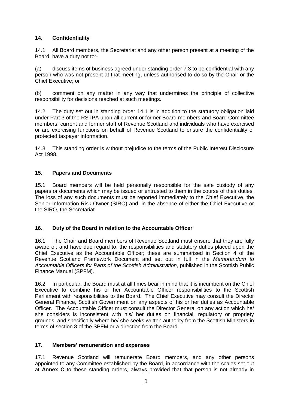# **14. Confidentiality**

14.1 All Board members, the Secretariat and any other person present at a meeting of the Board, have a duty not to:-

(a) discuss items of business agreed under standing order 7.3 to be confidential with any person who was not present at that meeting, unless authorised to do so by the Chair or the Chief Executive; or

(b) comment on any matter in any way that undermines the principle of collective responsibility for decisions reached at such meetings.

14.2 The duty set out in standing order 14.1 is in addition to the statutory obligation laid under Part 3 of the RSTPA upon all current or former Board members and Board Committee members, current and former staff of Revenue Scotland and individuals who have exercised or are exercising functions on behalf of Revenue Scotland to ensure the confidentiality of protected taxpayer information.

14.3 This standing order is without prejudice to the terms of the Public Interest Disclosure Act 1998.

## **15. Papers and Documents**

15.1 Board members will be held personally responsible for the safe custody of any papers or documents which may be issued or entrusted to them in the course of their duties. The loss of any such documents must be reported immediately to the Chief Executive, the Senior Information Risk Owner (SIRO) and, in the absence of either the Chief Executive or the SIRO, the Secretariat.

# **16. Duty of the Board in relation to the Accountable Officer**

16.1 The Chair and Board members of Revenue Scotland must ensure that they are fully aware of, and have due regard to, the responsibilities and statutory duties placed upon the Chief Executive as the Accountable Officer; these are summarised in Section 4 of the Revenue Scotland Framework Document and set out in full in the *Memorandum to Accountable Officers for Parts of the Scottish Administration*, published in the Scottish Public Finance Manual (SPFM).

16.2 In particular, the Board must at all times bear in mind that it is incumbent on the Chief Executive to combine his or her Accountable Officer responsibilities to the Scottish Parliament with responsibilities to the Board. The Chief Executive may consult the Director General Finance, Scottish Government on any aspects of his or her duties as Accountable Officer. The Accountable Officer must consult the Director General on any action which he/ she considers is inconsistent with his/ her duties on financial, regulatory or propriety grounds, and specifically where he/ she seeks written authority from the Scottish Ministers in terms of section 8 of the SPFM or a direction from the Board.

#### **17. Members' remuneration and expenses**

17.1 Revenue Scotland will remunerate Board members, and any other persons appointed to any Committee established by the Board, in accordance with the scales set out at **Annex C** to these standing orders, always provided that that person is not already in